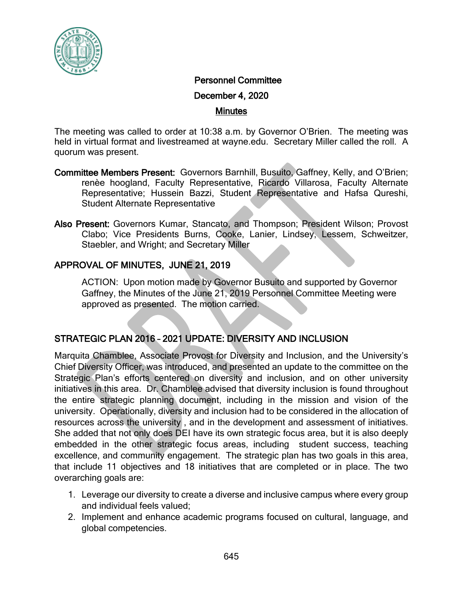

#### Personnel Committee

December 4, 2020

#### Minutes

The meeting was called to order at 10:38 a.m. by Governor O'Brien. The meeting was held in virtual format and livestreamed at wayne.edu. Secretary Miller called the roll. A quorum was present.

- Committee Members Present: Governors Barnhill, Busuito, Gaffney, Kelly, and O'Brien; renèe hoogland, Faculty Representative, Ricardo Villarosa, Faculty Alternate Representative; Hussein Bazzi, Student Representative and Hafsa Qureshi, Student Alternate Representative
- Also Present: Governors Kumar, Stancato, and Thompson; President Wilson; Provost Clabo; Vice Presidents Burns, Cooke, Lanier, Lindsey, Lessem, Schweitzer, Staebler, and Wright; and Secretary Miller

#### APPROVAL OF MINUTES, JUNE 21, 2019

ACTION: Upon motion made by Governor Busuito and supported by Governor Gaffney, the Minutes of the June 21, 2019 Personnel Committee Meeting were approved as presented. The motion carried.

# STRATEGIC PLAN 2016 – 2021 UPDATE: DIVERSITY AND INCLUSION

Marquita Chamblee, Associate Provost for Diversity and Inclusion, and the University's Chief Diversity Officer, was introduced, and presented an update to the committee on the Strategic Plan's efforts centered on diversity and inclusion, and on other university initiatives in this area. Dr. Chamblee advised that diversity inclusion is found throughout the entire strategic planning document, including in the mission and vision of the university. Operationally, diversity and inclusion had to be considered in the allocation of resources across the university , and in the development and assessment of initiatives. She added that not only does DEI have its own strategic focus area, but it is also deeply embedded in the other strategic focus areas, including student success, teaching excellence, and community engagement. The strategic plan has two goals in this area, that include 11 objectives and 18 initiatives that are completed or in place. The two overarching goals are:

- 1. Leverage our diversity to create a diverse and inclusive campus where every group and individual feels valued;
- 2. Implement and enhance academic programs focused on cultural, language, and global competencies.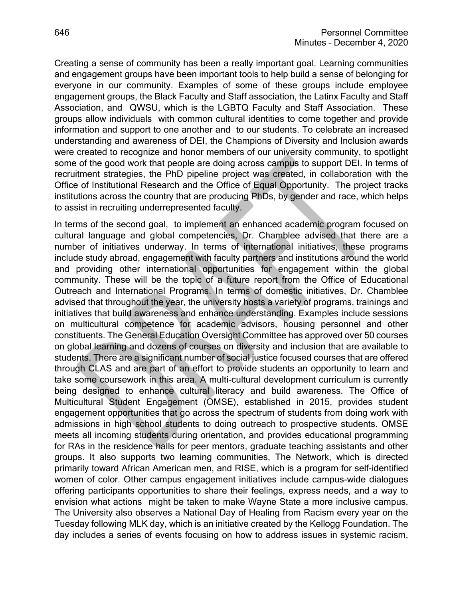Creating a sense of community has been a really important goal. Learning communities and engagement groups have been important tools to help build a sense of belonging for everyone in our community. Examples of some of these groups include employee engagement groups, the Black Faculty and Staff association, the Latinx Faculty and Staff Association, and QWSU, which is the LGBTQ Faculty and Staff Association. These groups allow individuals with common cultural identities to come together and provide information and support to one another and to our students. To celebrate an increased understanding and awareness of DEI, the Champions of Diversity and Inclusion awards were created to recognize and honor members of our university community, to spotlight some of the good work that people are doing across campus to support DEI. In terms of recruitment strategies, the PhD pipeline project was created, in collaboration with the Office of Institutional Research and the Office of Equal Opportunity. The project tracks institutions across the country that are producing PhDs, by gender and race, which helps to assist in recruiting underrepresented faculty.

In terms of the second goal, to implement an enhanced academic program focused on cultural language and global competencies, Dr. Chamblee advised that there are a number of initiatives underway. In terms of international initiatives, these programs include study abroad, engagement with faculty partners and institutions around the world and providing other international opportunities for engagement within the global community. These will be the topic of a future report from the Office of Educational Outreach and International Programs. In terms of domestic initiatives, Dr. Chamblee advised that throughout the year, the university hosts a variety of programs, trainings and initiatives that build awareness and enhance understanding. Examples include sessions on multicultural competence for academic advisors, housing personnel and other constituents. The General Education Oversight Committee has approved over 50 courses on global learning and dozens of courses on diversity and inclusion that are available to students. There are a significant number of social justice focused courses that are offered through CLAS and are part of an effort to provide students an opportunity to learn and take some coursework in this area. A multi-cultural development curriculum is currently being designed to enhance cultural literacy and build awareness. The Office of Multicultural Student Engagement (OMSE), established in 2015, provides student engagement opportunities that go across the spectrum of students from doing work with admissions in high school students to doing outreach to prospective students. OMSE meets all incoming students during orientation, and provides educational programming for RAs in the residence halls for peer mentors, graduate teaching assistants and other groups. It also supports two learning communities, The Network, which is directed primarily toward African American men, and RISE, which is a program for self-identified women of color. Other campus engagement initiatives include campus-wide dialogues offering participants opportunities to share their feelings, express needs, and a way to envision what actions might be taken to make Wayne State a more inclusive campus. The University also observes a National Day of Healing from Racism every year on the Tuesday following MLK day, which is an initiative created by the Kellogg Foundation. The day includes a series of events focusing on how to address issues in systemic racism.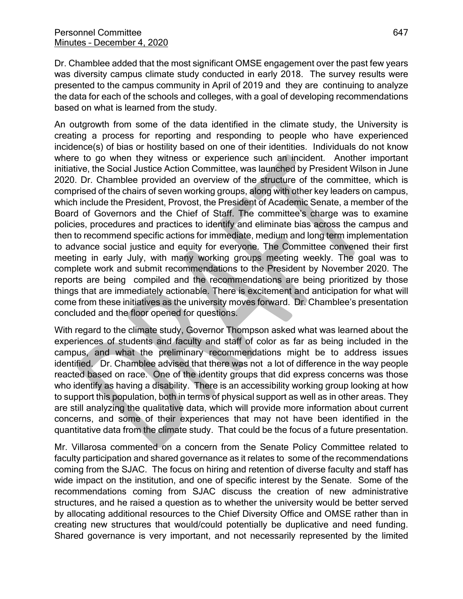Dr. Chamblee added that the most significant OMSE engagement over the past few years was diversity campus climate study conducted in early 2018. The survey results were presented to the campus community in April of 2019 and they are continuing to analyze the data for each of the schools and colleges, with a goal of developing recommendations based on what is learned from the study.

An outgrowth from some of the data identified in the climate study, the University is creating a process for reporting and responding to people who have experienced incidence(s) of bias or hostility based on one of their identities. Individuals do not know where to go when they witness or experience such an incident. Another important initiative, the Social Justice Action Committee, was launched by President Wilson in June 2020. Dr. Chamblee provided an overview of the structure of the committee, which is comprised of the chairs of seven working groups, along with other key leaders on campus, which include the President, Provost, the President of Academic Senate, a member of the Board of Governors and the Chief of Staff. The committee's charge was to examine policies, procedures and practices to identify and eliminate bias across the campus and then to recommend specific actions for immediate, medium and long term implementation to advance social justice and equity for everyone. The Committee convened their first meeting in early July, with many working groups meeting weekly. The goal was to complete work and submit recommendations to the President by November 2020. The reports are being compiled and the recommendations are being prioritized by those things that are immediately actionable. There is excitement and anticipation for what will come from these initiatives as the university moves forward. Dr. Chamblee's presentation concluded and the floor opened for questions.

With regard to the climate study, Governor Thompson asked what was learned about the experiences of students and faculty and staff of color as far as being included in the campus, and what the preliminary recommendations might be to address issues identified. Dr. Chamblee advised that there was not a lot of difference in the way people reacted based on race. One of the identity groups that did express concerns was those who identify as having a disability. There is an accessibility working group looking at how to support this population, both in terms of physical support as well as in other areas. They are still analyzing the qualitative data, which will provide more information about current concerns, and some of their experiences that may not have been identified in the quantitative data from the climate study. That could be the focus of a future presentation.

Mr. Villarosa commented on a concern from the Senate Policy Committee related to faculty participation and shared governance as it relates to some of the recommendations coming from the SJAC. The focus on hiring and retention of diverse faculty and staff has wide impact on the institution, and one of specific interest by the Senate. Some of the recommendations coming from SJAC discuss the creation of new administrative structures, and he raised a question as to whether the university would be better served by allocating additional resources to the Chief Diversity Office and OMSE rather than in creating new structures that would/could potentially be duplicative and need funding. Shared governance is very important, and not necessarily represented by the limited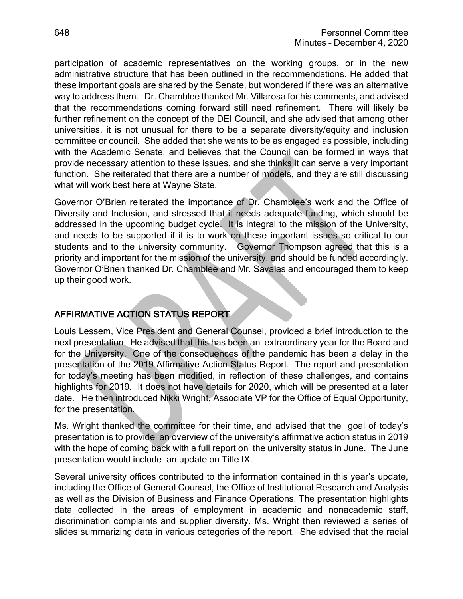participation of academic representatives on the working groups, or in the new administrative structure that has been outlined in the recommendations. He added that these important goals are shared by the Senate, but wondered if there was an alternative way to address them. Dr. Chamblee thanked Mr. Villarosa for his comments, and advised that the recommendations coming forward still need refinement. There will likely be further refinement on the concept of the DEI Council, and she advised that among other universities, it is not unusual for there to be a separate diversity/equity and inclusion committee or council. She added that she wants to be as engaged as possible, including with the Academic Senate, and believes that the Council can be formed in ways that provide necessary attention to these issues, and she thinks it can serve a very important function. She reiterated that there are a number of models, and they are still discussing what will work best here at Wayne State.

Governor O'Brien reiterated the importance of Dr. Chamblee's work and the Office of Diversity and Inclusion, and stressed that it needs adequate funding, which should be addressed in the upcoming budget cycle. It is integral to the mission of the University, and needs to be supported if it is to work on these important issues so critical to our students and to the university community. Governor Thompson agreed that this is a priority and important for the mission of the university, and should be funded accordingly. Governor O'Brien thanked Dr. Chamblee and Mr. Savalas and encouraged them to keep up their good work.

# AFFIRMATIVE ACTION STATUS REPORT

Louis Lessem, Vice President and General Counsel, provided a brief introduction to the next presentation. He advised that this has been an extraordinary year for the Board and for the University. One of the consequences of the pandemic has been a delay in the presentation of the 2019 Affirmative Action Status Report. The report and presentation for today's meeting has been modified, in reflection of these challenges, and contains highlights for 2019. It does not have details for 2020, which will be presented at a later date. He then introduced Nikki Wright, Associate VP for the Office of Equal Opportunity, for the presentation.

Ms. Wright thanked the committee for their time, and advised that the goal of today's presentation is to provide an overview of the university's affirmative action status in 2019 with the hope of coming back with a full report on the university status in June. The June presentation would include an update on Title IX.

Several university offices contributed to the information contained in this year's update, including the Office of General Counsel, the Office of Institutional Research and Analysis as well as the Division of Business and Finance Operations. The presentation highlights data collected in the areas of employment in academic and nonacademic staff, discrimination complaints and supplier diversity. Ms. Wright then reviewed a series of slides summarizing data in various categories of the report. She advised that the racial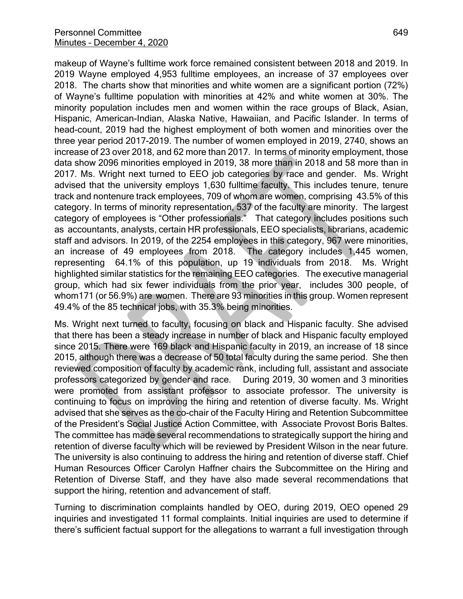makeup of Wayne's fulltime work force remained consistent between 2018 and 2019. In 2019 Wayne employed 4,953 fulltime employees, an increase of 37 employees over 2018. The charts show that minorities and white women are a significant portion (72%) of Wayne's fulltime population with minorities at 42% and white women at 30%. The minority population includes men and women within the race groups of Black, Asian, Hispanic, American-Indian, Alaska Native, Hawaiian, and Pacific Islander. In terms of head-count, 2019 had the highest employment of both women and minorities over the three year period 2017-2019. The number of women employed in 2019, 2740, shows an increase of 23 over 2018, and 62 more than 2017. In terms of minority employment, those data show 2096 minorities employed in 2019, 38 more than in 2018 and 58 more than in 2017. Ms. Wright next turned to EEO job categories by race and gender. Ms. Wright advised that the university employs 1,630 fulltime faculty. This includes tenure, tenure track and nontenure track employees, 709 of whom are women, comprising 43.5% of this category. In terms of minority representation, 537 of the faculty are minority. The largest category of employees is "Other professionals." That category includes positions such as accountants, analysts, certain HR professionals, EEO specialists, librarians, academic staff and advisors. In 2019, of the 2254 employees in this category, 967 were minorities, an increase of 49 employees from 2018. The category includes 1,445 women, representing 64.1% of this population, up 19 individuals from 2018. Ms. Wright highlighted similar statistics for the remaining EEO categories. The executive managerial group, which had six fewer individuals from the prior year, includes 300 people, of whom171 (or 56.9%) are women. There are 93 minorities in this group. Women represent 49.4% of the 85 technical jobs, with 35.3% being minorities.

Ms. Wright next turned to faculty, focusing on black and Hispanic faculty. She advised that there has been a steady increase in number of black and Hispanic faculty employed since 2015. There were 169 black and Hispanic faculty in 2019, an increase of 18 since 2015, although there was a decrease of 50 total faculty during the same period. She then reviewed composition of faculty by academic rank, including full, assistant and associate professors categorized by gender and race. During 2019, 30 women and 3 minorities were promoted from assistant professor to associate professor. The university is continuing to focus on improving the hiring and retention of diverse faculty. Ms. Wright advised that she serves as the co-chair of the Faculty Hiring and Retention Subcommittee of the President's Social Justice Action Committee, with Associate Provost Boris Baltes. The committee has made several recommendations to strategically support the hiring and retention of diverse faculty which will be reviewed by President Wilson in the near future. The university is also continuing to address the hiring and retention of diverse staff. Chief Human Resources Officer Carolyn Haffner chairs the Subcommittee on the Hiring and Retention of Diverse Staff, and they have also made several recommendations that support the hiring, retention and advancement of staff.

Turning to discrimination complaints handled by OEO, during 2019, OEO opened 29 inquiries and investigated 11 formal complaints. Initial inquiries are used to determine if there's sufficient factual support for the allegations to warrant a full investigation through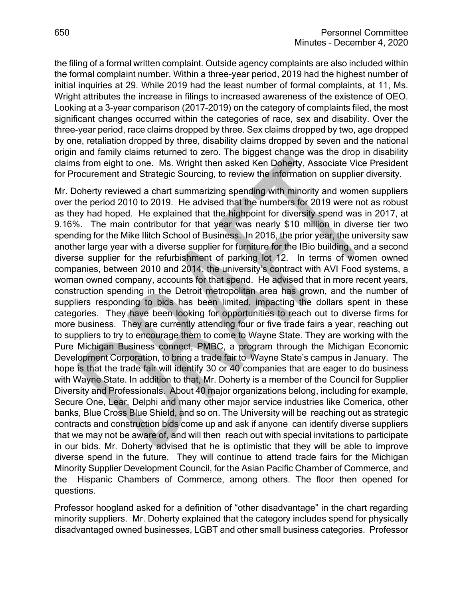the filing of a formal written complaint. Outside agency complaints are also included within the formal complaint number. Within a three-year period, 2019 had the highest number of initial inquiries at 29. While 2019 had the least number of formal complaints, at 11, Ms. Wright attributes the increase in filings to increased awareness of the existence of OEO. Looking at a 3-year comparison (2017-2019) on the category of complaints filed, the most significant changes occurred within the categories of race, sex and disability. Over the three-year period, race claims dropped by three. Sex claims dropped by two, age dropped by one, retaliation dropped by three, disability claims dropped by seven and the national origin and family claims returned to zero. The biggest change was the drop in disability claims from eight to one. Ms. Wright then asked Ken Doherty, Associate Vice President for Procurement and Strategic Sourcing, to review the information on supplier diversity.

Mr. Doherty reviewed a chart summarizing spending with minority and women suppliers over the period 2010 to 2019. He advised that the numbers for 2019 were not as robust as they had hoped. He explained that the highpoint for diversity spend was in 2017, at 9.16%. The main contributor for that year was nearly \$10 million in diverse tier two spending for the Mike Ilitch School of Business. In 2016, the prior year, the university saw another large year with a diverse supplier for furniture for the IBio building, and a second diverse supplier for the refurbishment of parking lot 12. In terms of women owned companies, between 2010 and 2014, the university's contract with AVI Food systems, a woman owned company, accounts for that spend. He advised that in more recent years, construction spending in the Detroit metropolitan area has grown, and the number of suppliers responding to bids has been limited, impacting the dollars spent in these categories. They have been looking for opportunities to reach out to diverse firms for more business. They are currently attending four or five trade fairs a year, reaching out to suppliers to try to encourage them to come to Wayne State. They are working with the Pure Michigan Business connect, PMBC, a program through the Michigan Economic Development Corporation, to bring a trade fair to Wayne State's campus in January. The hope is that the trade fair will identify 30 or 40 companies that are eager to do business with Wayne State. In addition to that, Mr. Doherty is a member of the Council for Supplier Diversity and Professionals. About 40 major organizations belong, including for example, Secure One, Lear, Delphi and many other major service industries like Comerica, other banks, Blue Cross Blue Shield, and so on. The University will be reaching out as strategic contracts and construction bids come up and ask if anyone can identify diverse suppliers that we may not be aware of, and will then reach out with special invitations to participate in our bids. Mr. Doherty advised that he is optimistic that they will be able to improve diverse spend in the future. They will continue to attend trade fairs for the Michigan Minority Supplier Development Council, for the Asian Pacific Chamber of Commerce, and the Hispanic Chambers of Commerce, among others. The floor then opened for questions.

Professor hoogland asked for a definition of "other disadvantage" in the chart regarding minority suppliers. Mr. Doherty explained that the category includes spend for physically disadvantaged owned businesses, LGBT and other small business categories. Professor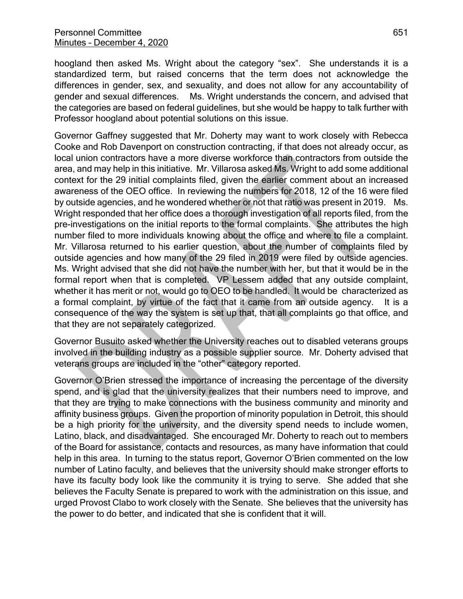hoogland then asked Ms. Wright about the category "sex". She understands it is a standardized term, but raised concerns that the term does not acknowledge the differences in gender, sex, and sexuality, and does not allow for any accountability of gender and sexual differences. Ms. Wright understands the concern, and advised that the categories are based on federal guidelines, but she would be happy to talk further with Professor hoogland about potential solutions on this issue.

Governor Gaffney suggested that Mr. Doherty may want to work closely with Rebecca Cooke and Rob Davenport on construction contracting, if that does not already occur, as local union contractors have a more diverse workforce than contractors from outside the area, and may help in this initiative. Mr. Villarosa asked Ms. Wright to add some additional context for the 29 initial complaints filed, given the earlier comment about an increased awareness of the OEO office. In reviewing the numbers for 2018, 12 of the 16 were filed by outside agencies, and he wondered whether or not that ratio was present in 2019. Ms. Wright responded that her office does a thorough investigation of all reports filed, from the pre-investigations on the initial reports to the formal complaints. She attributes the high number filed to more individuals knowing about the office and where to file a complaint. Mr. Villarosa returned to his earlier question, about the number of complaints filed by outside agencies and how many of the 29 filed in 2019 were filed by outside agencies. Ms. Wright advised that she did not have the number with her, but that it would be in the formal report when that is completed. VP Lessem added that any outside complaint, whether it has merit or not, would go to OEO to be handled. It would be characterized as a formal complaint, by virtue of the fact that it came from an outside agency. It is a consequence of the way the system is set up that, that all complaints go that office, and that they are not separately categorized.

Governor Busuito asked whether the University reaches out to disabled veterans groups involved in the building industry as a possible supplier source. Mr. Doherty advised that veterans groups are included in the "other" category reported.

Governor O'Brien stressed the importance of increasing the percentage of the diversity spend, and is glad that the university realizes that their numbers need to improve, and that they are trying to make connections with the business community and minority and affinity business groups. Given the proportion of minority population in Detroit, this should be a high priority for the university, and the diversity spend needs to include women, Latino, black, and disadvantaged. She encouraged Mr. Doherty to reach out to members of the Board for assistance, contacts and resources, as many have information that could help in this area. In turning to the status report, Governor O'Brien commented on the low number of Latino faculty, and believes that the university should make stronger efforts to have its faculty body look like the community it is trying to serve. She added that she believes the Faculty Senate is prepared to work with the administration on this issue, and urged Provost Clabo to work closely with the Senate. She believes that the university has the power to do better, and indicated that she is confident that it will.